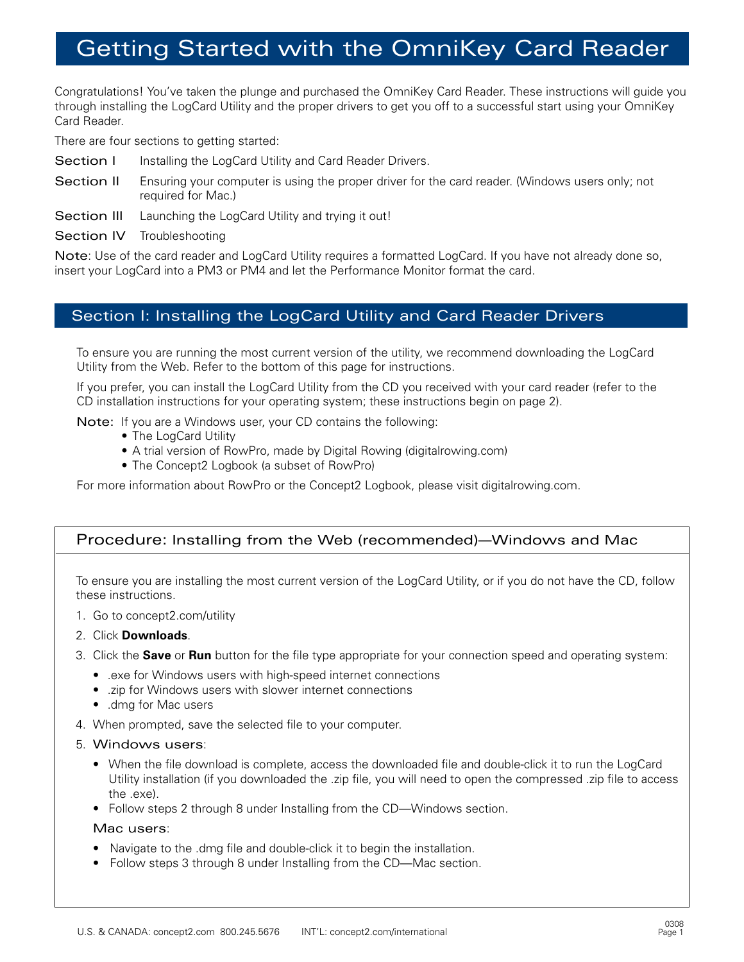# Getting Started with the OmniKey Card Reader

Congratulations! You've taken the plunge and purchased the OmniKey Card Reader. These instructions will guide you through installing the LogCard Utility and the proper drivers to get you off to a successful start using your OmniKey Card Reader.

There are four sections to getting started:

- Section I Installing the LogCard Utility and Card Reader Drivers.
- Section II Ensuring your computer is using the proper driver for the card reader. (Windows users only; not required for Mac.)
- Section III Launching the LogCard Utility and trying it out!
- Section IV Troubleshooting

Note: Use of the card reader and LogCard Utility requires a formatted LogCard. If you have not already done so, insert your LogCard into a PM3 or PM4 and let the Performance Monitor format the card.

## Section I: Installing the LogCard Utility and Card Reader Drivers

To ensure you are running the most current version of the utility, we recommend downloading the LogCard Utility from the Web. Refer to the bottom of this page for instructions.

If you prefer, you can install the LogCard Utility from the CD you received with your card reader (refer to the CD installation instructions for your operating system; these instructions begin on page 2).

Note: If you are a Windows user, your CD contains the following:

- The LogCard Utility
- A trial version of RowPro, made by Digital Rowing (digitalrowing.com)
- The Concept2 Logbook (a subset of RowPro)

For more information about RowPro or the Concept2 Logbook, please visit digitalrowing.com.

## Procedure: Installing from the Web (recommended)—Windows and Mac

To ensure you are installing the most current version of the LogCard Utility, or if you do not have the CD, follow these instructions.

- 1. Go to concept2.com/utility
- 2. Click **Downloads**.
- 3. Click the **Save** or **Run** button for the file type appropriate for your connection speed and operating system:
	- .exe for Windows users with high-speed internet connections
	- .zip for Windows users with slower internet connections
	- .dmg for Mac users
- 4. When prompted, save the selected file to your computer.
- 5. Windows users:
	- When the file download is complete, access the downloaded file and double-click it to run the LogCard Utility installation (if you downloaded the .zip file, you will need to open the compressed .zip file to access the .exe).
	- Follow steps 2 through 8 under Installing from the CD—Windows section.

#### Mac users:

- Navigate to the .dmg file and double-click it to begin the installation.
- Follow steps 3 through 8 under Installing from the CD—Mac section.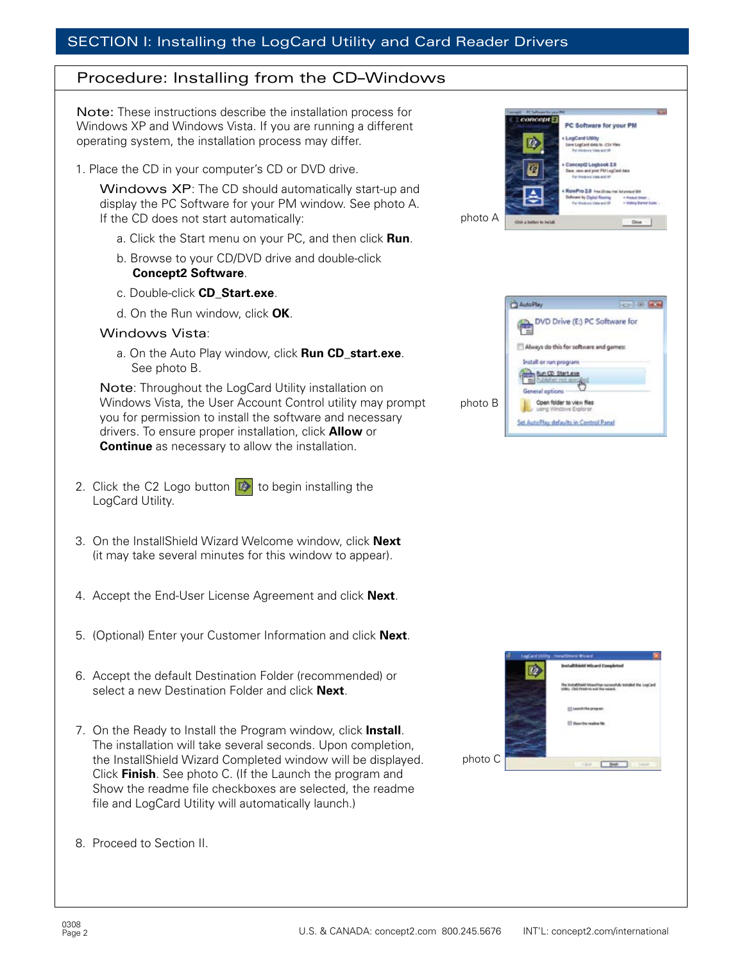## Procedure: Installing from the CD–Windows

Note: These instructions describe the installation process for Windows XP and Windows Vista. If you are running a different operating system, the installation process may differ.

1. Place the CD in your computer's CD or DVD drive.

Windows XP: The CD should automatically start-up and display the PC Software for your PM window. See photo A. If the CD does not start automatically:

- a. Click the Start menu on your PC, and then click **Run**.
- b. Browse to your CD/DVD drive and double-click **Concept2 Software**.
- c. Double-click **CD\_Start.exe**.
- d. On the Run window, click **OK**.

#### Windows Vista:

a. On the Auto Play window, click **Run CD\_start.exe**. See photo B.

Note: Throughout the LogCard Utility installation on Windows Vista, the User Account Control utility may prompt you for permission to install the software and necessary drivers. To ensure proper installation, click **Allow** or **Continue** as necessary to allow the installation.

- 2. Click the C2 Logo button  $\mathbb{R}$  to begin installing the LogCard Utility.
- 3. On the InstallShield Wizard Welcome window, click **Next** (it may take several minutes for this window to appear).
- 4. Accept the End-User License Agreement and click **Next**.
- 5. (Optional) Enter your Customer Information and click **Next**.
- 6. Accept the default Destination Folder (recommended) or select a new Destination Folder and click **Next**.
- 7. On the Ready to Install the Program window, click **Install**. The installation will take several seconds. Upon completion, the InstallShield Wizard Completed window will be displayed. Click **Finish**. See photo C. (If the Launch the program and Show the readme file checkboxes are selected, the readme file and LogCard Utility will automatically launch.)
- 8. Proceed to Section II.



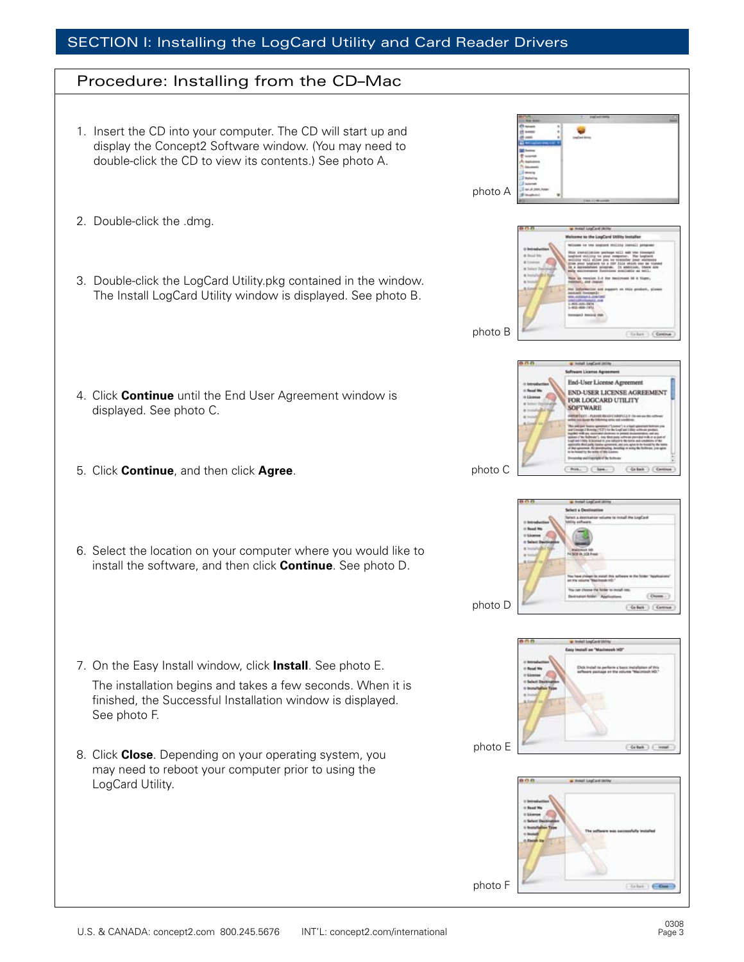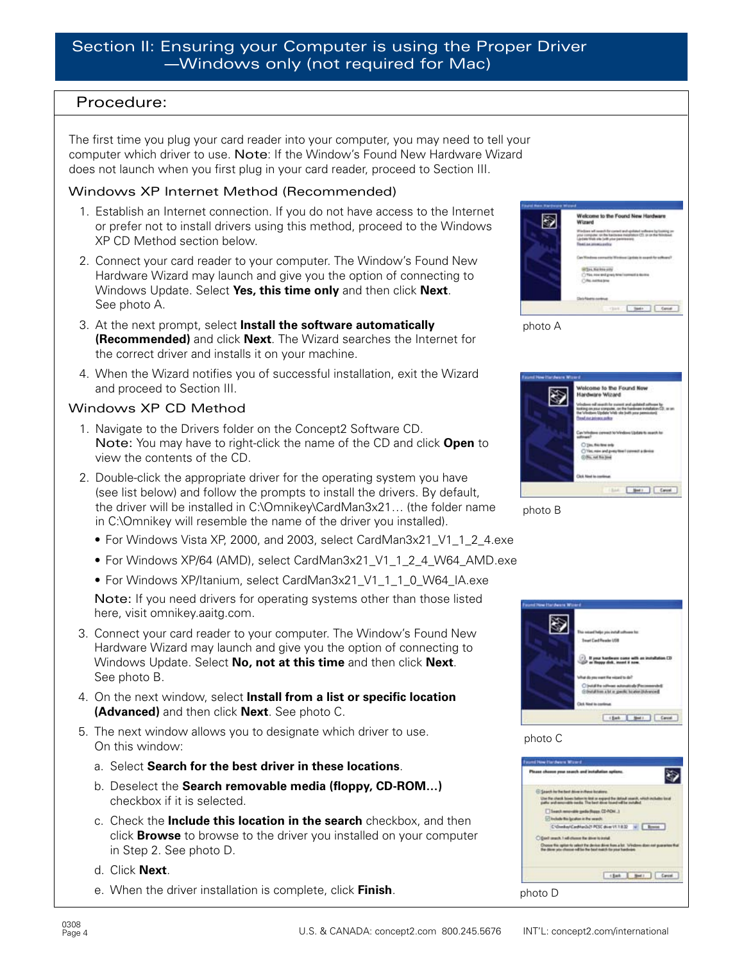## Procedure:

The first time you plug your card reader into your computer, you may need to tell your computer which driver to use. Note: If the Window's Found New Hardware Wizard does not launch when you first plug in your card reader, proceed to Section III.

### Windows XP Internet Method (Recommended)

- 1. Establish an Internet connection. If you do not have access to the Internet or prefer not to install drivers using this method, proceed to the Windows XP CD Method section below.
- 2. Connect your card reader to your computer. The Window's Found New Hardware Wizard may launch and give you the option of connecting to Windows Update. Select **Yes, this time only** and then click **Next**. See photo A.
- 3. At the next prompt, select **Install the software automatically (Recommended)** and click **Next**. The Wizard searches the Internet for the correct driver and installs it on your machine.
- 4. When the Wizard notifies you of successful installation, exit the Wizard and proceed to Section III.

## Windows XP CD Method

- 1. Navigate to the Drivers folder on the Concept2 Software CD. Note: You may have to right-click the name of the CD and click **Open** to view the contents of the CD.
- 2. Double-click the appropriate driver for the operating system you have (see list below) and follow the prompts to install the drivers. By default, the driver will be installed in C:\Omnikey\CardMan3x21… (the folder name in C:\Omnikey will resemble the name of the driver you installed).
	- For Windows Vista XP, 2000, and 2003, select CardMan3x21\_V1\_1\_2\_4.exe
	- For Windows XP/64 (AMD), select CardMan3x21\_V1\_1\_2\_4\_W64\_AMD.exe
	- For Windows XP/Itanium, select CardMan3x21\_V1\_1\_1\_0\_W64\_IA.exe

Note: If you need drivers for operating systems other than those listed here, visit omnikey.aaitg.com.

- 3. Connect your card reader to your computer. The Window's Found New Hardware Wizard may launch and give you the option of connecting to Windows Update. Select **No, not at this time** and then click **Next**. See photo B.
- 4. On the next window, select **Install from a list or specific location (Advanced)** and then click **Next**. See photo C.
- 5. The next window allows you to designate which driver to use. On this window:
	- a. Select **Search for the best driver in these locations**.
	- b. Deselect the **Search removable media (floppy, CD-ROM…)** checkbox if it is selected.
	- c. Check the **Include this location in the search** checkbox, and then click **Browse** to browse to the driver you installed on your computer in Step 2. See photo D.
	- d. Click **Next**.
	- e. When the driver installation is complete, click **Finish**.

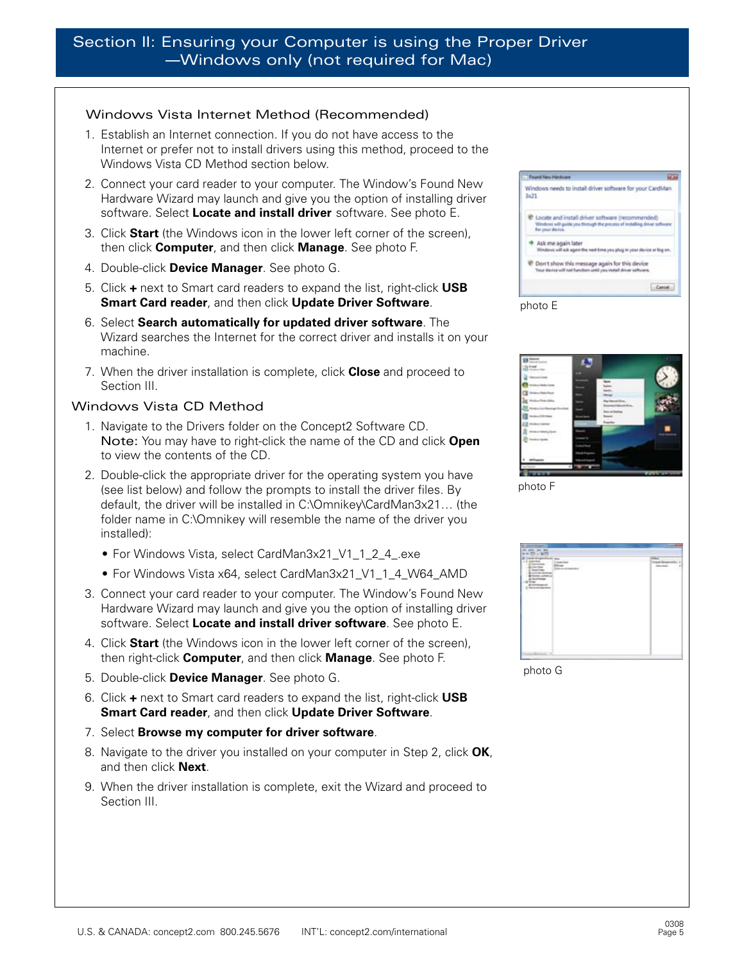#### Windows Vista Internet Method (Recommended)

- 1. Establish an Internet connection. If you do not have access to the Internet or prefer not to install drivers using this method, proceed to the Windows Vista CD Method section below.
- 2. Connect your card reader to your computer. The Window's Found New Hardware Wizard may launch and give you the option of installing driver software. Select **Locate and install driver** software. See photo E.
- 3. Click **Start** (the Windows icon in the lower left corner of the screen), then click **Computer**, and then click **Manage**. See photo F.
- 4. Double-click **Device Manager**. See photo G.
- 5. Click **+** next to Smart card readers to expand the list, right-click **USB Smart Card reader**, and then click **Update Driver Software**.
- 6. Select **Search automatically for updated driver software**. The Wizard searches the Internet for the correct driver and installs it on your machine.
- 7. When the driver installation is complete, click **Close** and proceed to Section III.

#### Windows Vista CD Method

- 1. Navigate to the Drivers folder on the Concept2 Software CD. Note: You may have to right-click the name of the CD and click **Open** to view the contents of the CD.
- 2. Double-click the appropriate driver for the operating system you have (see list below) and follow the prompts to install the driver files. By default, the driver will be installed in C:\Omnikey\CardMan3x21… (the folder name in C:\Omnikey will resemble the name of the driver you installed):
	- For Windows Vista, select CardMan3x21\_V1\_1\_2\_4\_.exe
	- For Windows Vista x64, select CardMan3x21\_V1\_1\_4\_W64\_AMD
- 3. Connect your card reader to your computer. The Window's Found New Hardware Wizard may launch and give you the option of installing driver software. Select **Locate and install driver software**. See photo E.
- 4. Click **Start** (the Windows icon in the lower left corner of the screen), then right-click **Computer**, and then click **Manage**. See photo F.
- 5. Double-click **Device Manager**. See photo G.
- 6. Click **+** next to Smart card readers to expand the list, right-click **USB Smart Card reader**, and then click **Update Driver Software**.
- 7. Select **Browse my computer for driver software**.
- 8. Navigate to the driver you installed on your computer in Step 2, click **OK**, and then click **Next**.
- 9. When the driver installation is complete, exit the Wizard and proceed to Section III.

| - Feund New Hardware |                                                                                                                              |
|----------------------|------------------------------------------------------------------------------------------------------------------------------|
| 3x21                 | Windows needs to install driver software for your CardMan                                                                    |
| for your device.     | Locate and install driver software (recommended)<br>Windows will quide you through the process of installing driver software |
| Ask me again later   | Mindows will ask again the next time you plug in your device or log on.                                                      |
|                      | Don't show this message again for this device<br>Your derica will not function until you install driver settures.            |
|                      | Cancel                                                                                                                       |



photo F



photo G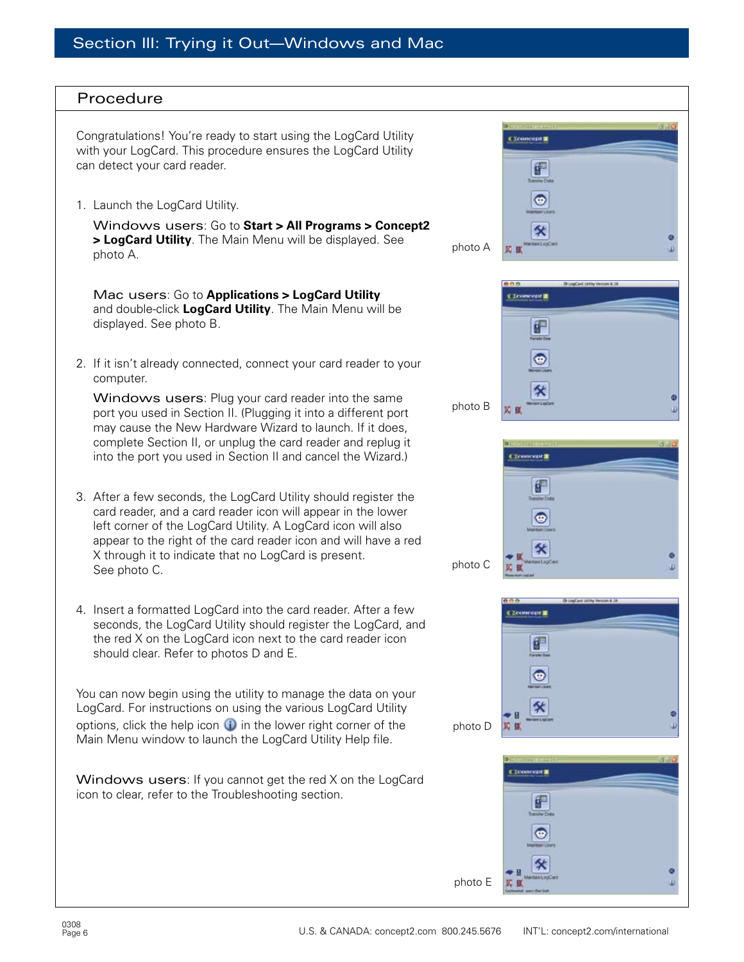## Procedure

Congratulations! You're ready to start using the LogCard Utility with your LogCard. This procedure ensures the LogCard Utility can detect your card reader.

1. Launch the LogCard Utility.

Windows users: Go to **Start > All Programs > Concept2 > LogCard Utility**. The Main Menu will be displayed. See photo A.

Mac users: Go to **Applications > LogCard Utility** and double-click **LogCard Utility**. The Main Menu will be displayed. See photo B.

2. If it isn't already connected, connect your card reader to your computer.

Windows users: Plug your card reader into the same port you used in Section II. (Plugging it into a different port may cause the New Hardware Wizard to launch. If it does, complete Section II, or unplug the card reader and replug it into the port you used in Section II and cancel the Wizard.)

- 3. After a few seconds, the LogCard Utility should register the card reader, and a card reader icon will appear in the lower left corner of the LogCard Utility. A LogCard icon will also appear to the right of the card reader icon and will have a red X through it to indicate that no LogCard is present. See photo C.
- 4. Insert a formatted LogCard into the card reader. After a few seconds, the LogCard Utility should register the LogCard, and the red X on the LogCard icon next to the card reader icon should clear. Refer to photos D and E.

You can now begin using the utility to manage the data on your LogCard. For instructions on using the various LogCard Utility options, click the help icon  $\bullet$  in the lower right corner of the Main Menu window to launch the LogCard Utility Help file.

Windows users: If you cannot get the red X on the LogCard icon to clear, refer to the Troubleshooting section.